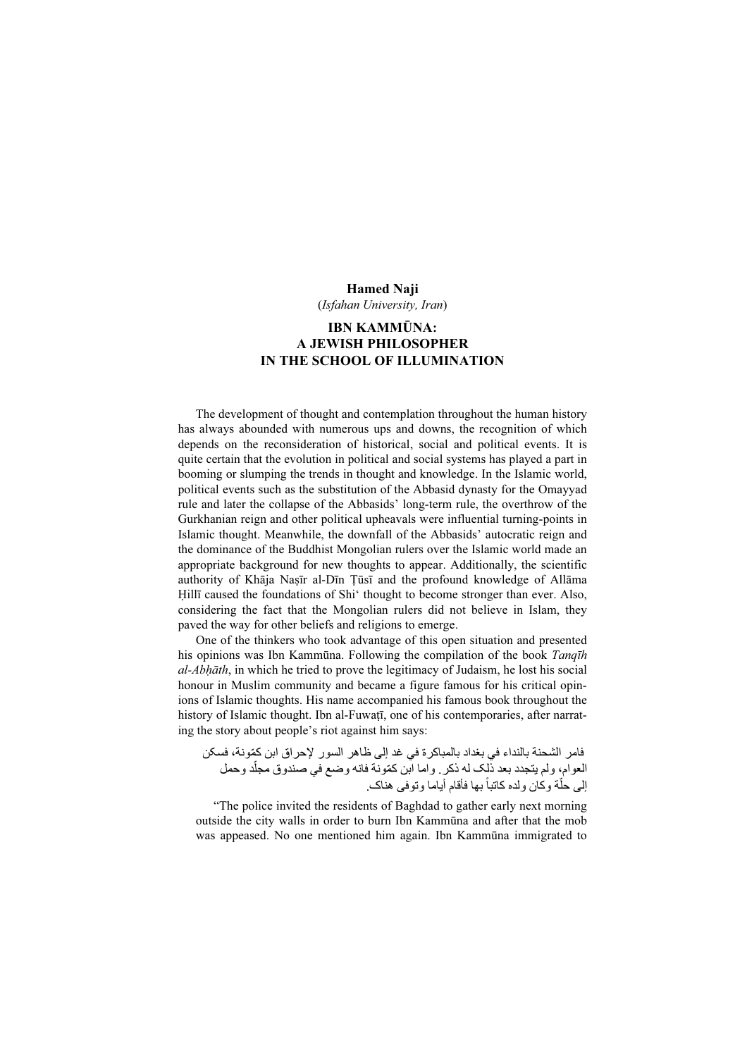## Hamed Naji

(Isfahan University, Iran)

## IBN KAMMŪNA: A JEWISH PHILOSOPHER IN THE SCHOOL OF ILLUMINATION

The development of thought and contemplation throughout the human history has always abounded with numerous ups and downs, the recognition of which depends on the reconsideration of historical, social and political events. It is quite certain that the evolution in political and social systems has played a part in booming or slumping the trends in thought and knowledge. In the Islamic world, political events such as the substitution of the Abbasid dynasty for the Omayyad rule and later the collapse of the Abbasids' long-term rule, the overthrow of the Gurkhanian reign and other political upheavals were influential turning-points in Islamic thought. Meanwhile, the downfall of the Abbasids' autocratic reign and the dominance of the Buddhist Mongolian rulers over the Islamic world made an appropriate background for new thoughts to appear. Additionally, the scientific authority of Khāja Naṣīr al-Dīn Ṭūsī and the profound knowledge of Allāma Hillī caused the foundations of Shi' thought to become stronger than ever. Also, considering the fact that the Mongolian rulers did not believe in Islam, they paved the way for other beliefs and religions to emerge.

One of the thinkers who took advantage of this open situation and presented his opinions was Ibn Kammūna. Following the compilation of the book Tanqīh al-Abhāth, in which he tried to prove the legitimacy of Judaism, he lost his social honour in Muslim community and became a figure famous for his critical opinions of Islamic thoughts. His name accompanied his famous book throughout the history of Islamic thought. Ibn al-Fuwatī, one of his contemporaries, after narrating the story about people's riot against him says:

فامر الشحنة بالنداء في بغداد بالمباکرة في غد إلی ظاھر السور إل ّ حراق ابن کمونة، فسکن صندوق مجلد وحمل ّ العوام، ولم يتجدد بعد ذلک له ذکر. ّ واما ابن کمونة فانه وضع في ان ولده کاتبابھا فأقام أياما وتوفی ھناک. ً لی حلة وک ّ <sup>إ</sup>

"The police invited the residents of Baghdad to gather early next morning outside the city walls in order to burn Ibn Kammūna and after that the mob was appeased. No one mentioned him again. Ibn Kammūna immigrated to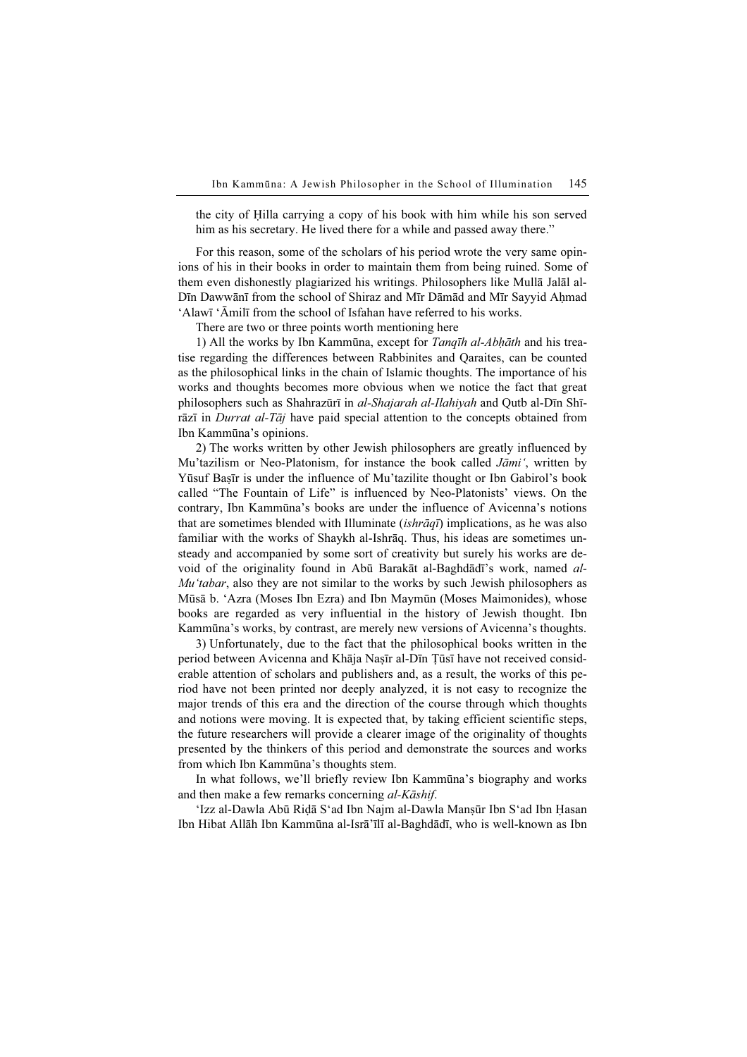the city of Ḥilla carrying a copy of his book with him while his son served him as his secretary. He lived there for a while and passed away there."

For this reason, some of the scholars of his period wrote the very same opinions of his in their books in order to maintain them from being ruined. Some of them even dishonestly plagiarized his writings. Philosophers like Mullā Jalāl al-Dīn Dawwānī from the school of Shiraz and Mīr Dāmād and Mīr Sayyid Ahmad 'Alawī 'Āmilī from the school of Isfahan have referred to his works.

There are two or three points worth mentioning here

1) All the works by Ibn Kammūna, except for Tangīh al-Abhāth and his treatise regarding the differences between Rabbinites and Qaraites, can be counted as the philosophical links in the chain of Islamic thoughts. The importance of his works and thoughts becomes more obvious when we notice the fact that great philosophers such as Shahrazūrī in al-Shajarah al-Ilahiyah and Qutb al-Dīn Shīrāzī in *Durrat al-Tāj* have paid special attention to the concepts obtained from Ibn Kammūna's opinions.

2) The works written by other Jewish philosophers are greatly influenced by Mu'tazilism or Neo-Platonism, for instance the book called *Jāmi'*, written by Yūsuf Baṣīr is under the influence of Mu'tazilite thought or Ibn Gabirol's book called "The Fountain of Life" is influenced by Neo-Platonists' views. On the contrary, Ibn Kammūna's books are under the influence of Avicenna's notions that are sometimes blended with Illuminate *(ishrāqī)* implications, as he was also familiar with the works of Shaykh al-Ishrāq. Thus, his ideas are sometimes unsteady and accompanied by some sort of creativity but surely his works are devoid of the originality found in Abū Barakāt al-Baghdādī's work, named al- $Mu'tabar$ , also they are not similar to the works by such Jewish philosophers as Mūsā b. 'Azra (Moses Ibn Ezra) and Ibn Maymūn (Moses Maimonides), whose books are regarded as very influential in the history of Jewish thought. Ibn Kammūna's works, by contrast, are merely new versions of Avicenna's thoughts.

3) Unfortunately, due to the fact that the philosophical books written in the period between Avicenna and Khāja Naṣīr al-Dīn Ṭūsī have not received considerable attention of scholars and publishers and, as a result, the works of this period have not been printed nor deeply analyzed, it is not easy to recognize the major trends of this era and the direction of the course through which thoughts and notions were moving. It is expected that, by taking efficient scientific steps, the future researchers will provide a clearer image of the originality of thoughts presented by the thinkers of this period and demonstrate the sources and works from which Ibn Kammūna's thoughts stem.

In what follows, we'll briefly review Ibn Kammūna's biography and works and then make a few remarks concerning al-Kāshif.

'Izz al-Dawla Abū Riḍā S'ad Ibn Najm al-Dawla Manṣūr Ibn S'ad Ibn Ḥasan Ibn Hibat Allāh Ibn Kammūna al-Isrā'īlī al-Baghdādī, who is well-known as Ibn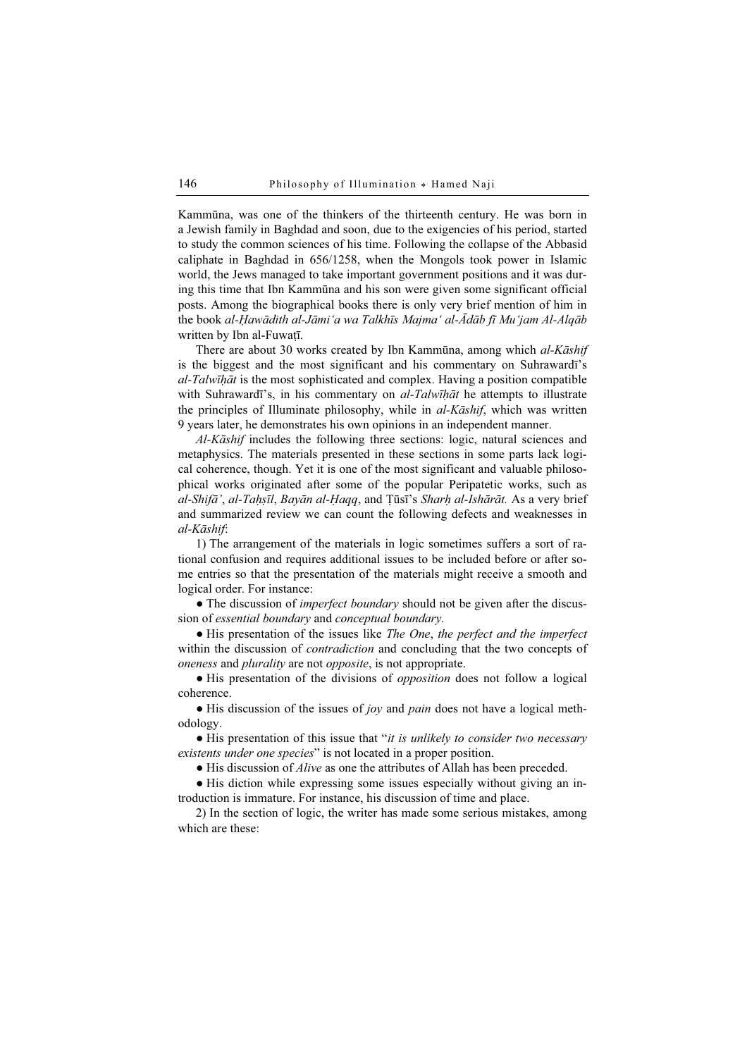Kammūna, was one of the thinkers of the thirteenth century. He was born in a Jewish family in Baghdad and soon, due to the exigencies of his period, started to study the common sciences of his time. Following the collapse of the Abbasid caliphate in Baghdad in 656/1258, when the Mongols took power in Islamic world, the Jews managed to take important government positions and it was during this time that Ibn Kammūna and his son were given some significant official posts. Among the biographical books there is only very brief mention of him in the book al-Ḥawādith al-Jāmi'a wa Talkhīs Majma' al-Ādāb fī Mu'jam Al-Alqāb written by Ibn al-Fuwatī.

There are about 30 works created by Ibn Kammūna, among which al-Kāshif is the biggest and the most significant and his commentary on Suhrawardī's  $al-Talw\bar{t}h\bar{a}t$  is the most sophisticated and complex. Having a position compatible with Suhrawardī's, in his commentary on *al-Talwīḥāt* he attempts to illustrate the principles of Illuminate philosophy, while in al-Kāshif, which was written 9 years later, he demonstrates his own opinions in an independent manner.

Al-Kāshif includes the following three sections: logic, natural sciences and metaphysics. The materials presented in these sections in some parts lack logical coherence, though. Yet it is one of the most significant and valuable philosophical works originated after some of the popular Peripatetic works, such as al-Shifā', al-Taḥṣīl, Bayān al-Ḥaqq, and Ṭūsī's Sharḥ al-Ishārāt. As a very brief and summarized review we can count the following defects and weaknesses in al-Kāshif:

1) The arrangement of the materials in logic sometimes suffers a sort of rational confusion and requires additional issues to be included before or after some entries so that the presentation of the materials might receive a smooth and logical order. For instance:

• The discussion of *imperfect boundary* should not be given after the discussion of essential boundary and conceptual boundary.

• His presentation of the issues like The One, the perfect and the imperfect within the discussion of *contradiction* and concluding that the two concepts of oneness and plurality are not opposite, is not appropriate.

• His presentation of the divisions of *opposition* does not follow a logical coherence.

 $\bullet$  His discussion of the issues of joy and pain does not have a logical methodology.

• His presentation of this issue that "it is unlikely to consider two necessary existents under one species" is not located in a proper position.

● His discussion of Alive as one the attributes of Allah has been preceded.

● His diction while expressing some issues especially without giving an introduction is immature. For instance, his discussion of time and place.

2) In the section of logic, the writer has made some serious mistakes, among which are these: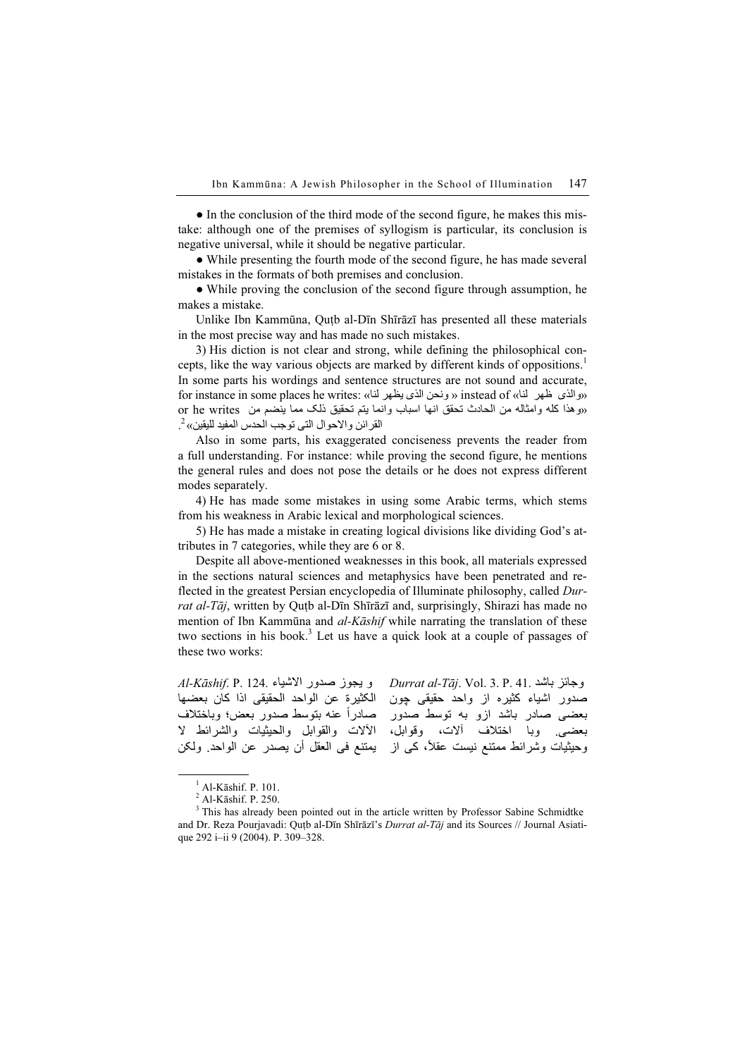• In the conclusion of the third mode of the second figure, he makes this mistake: although one of the premises of syllogism is particular, its conclusion is negative universal, while it should be negative particular.

● While presenting the fourth mode of the second figure, he has made several mistakes in the formats of both premises and conclusion.

• While proving the conclusion of the second figure through assumption, he makes a mistake.

Unlike Ibn Kammūna, Quṭb al-Dīn Shīrāzī has presented all these materials in the most precise way and has made no such mistakes.

3) His diction is not clear and strong, while defining the philosophical concepts, like the way various objects are marked by different kinds of oppositions. 1 In some parts his wordings and sentence structures are not sound and accurate, for instance in some places he writes: «والذی طهر الذای بنظهر الذی يظهر الذی ونحن الذی ونحن الذی ونظهر الذی ب or he writes وامثاله من الحادث تحقق انها اسباب وانما يتم تحقيق ذلک مما ينضم من or he writes القرائن والاحوال التي توجب الحدس المفيد لليقين» <sup>2</sup>.

Also in some parts, his exaggerated conciseness prevents the reader from a full understanding. For instance: while proving the second figure, he mentions the general rules and does not pose the details or he does not express different modes separately.

4) He has made some mistakes in using some Arabic terms, which stems from his weakness in Arabic lexical and morphological sciences.

5) He has made a mistake in creating logical divisions like dividing God's attributes in 7 categories, while they are 6 or 8.

Despite all above-mentioned weaknesses in this book, all materials expressed in the sections natural sciences and metaphysics have been penetrated and reflected in the greatest Persian encyclopedia of Illuminate philosophy, called Durrat al-Tāj, written by Quṭb al-Dīn Shīrāzī and, surprisingly, Shirazi has made no mention of Ibn Kammūna and al-Kāshif while narrating the translation of these two sections in his book. 3 Let us have a quick look at a couple of passages of these two works:

و يجوز صدور الاشياء 124.Al-Kāshif. P. 124. الکثيرة عن الواحد الحقيقی اذا کان بعضھا اعتبره عن الواعد المعلومي المار عن بتعضها<br>صادراً عنه بتوسط صدور بعض؛ وباختلاف رب - سنة بين<br>الألات والقوابل والحيثيات والشرائط لا بعضعي وبي استحاد العقل ولکن، العقل العقل فی العقل واحديث واسرات العقل .<br>وحيثيات وشرائط ممتنع نيست عقلاً، کي از يمتنع في العقل أن يصدر عن الواحد. ولكن Durrat al-Tāj. Vol. 3. P. 41. باشد وجائز صدور اشياء کثيره از واحد حقيقی چون بعضی صادر باشد ازو به توسط صدور .<br>بعضی<sub>. و</sub>با اختلاف آلات، وقوابل،

 $<sup>1</sup>$  Al-Kāshif. P. 101.</sup>

<sup>2</sup> Al-Kāshif. P. 250.

 $3$  This has already been pointed out in the article written by Professor Sabine Schmidtke and Dr. Reza Pourjavadi: Quṭb al-Dīn Shīrāzī's Durrat al-Tāj and its Sources // Journal Asiatique 292 i–ii 9 (2004). P. 309–328.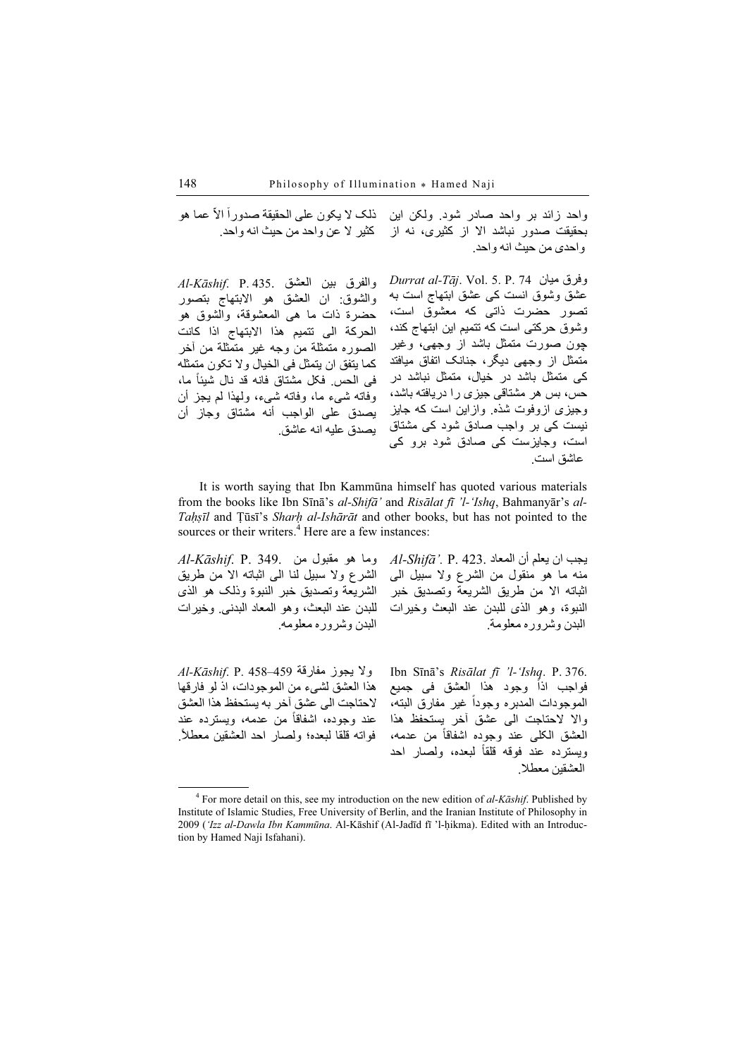ّ عما ھو ً االذلک ال يکون علی الحقيقة صدوراواحد زائد بر واحد صادر شود. ولکن اين ر سبب سر عن روس کرد و سبب سر حيث من حيث انه واحد.<br>بحقيقت صدور نباشد الا از کثيری، نه از کثير لا عن واحد من حيث انه واحد. واحدی من حيث انه واحد.

 $Al$ -Kāshif. P. 435. والفرق بين العشق والشوق: ان العشق ھو االبتھاج بتصور حضرة ذات ما ھی المعشوقة، والشوق ھو الحرکة الی تتميم ھذا االبتھاج اذا کانت الصوره متمثلة من وجه غير متمثلة من آخر کما يتفق ان يتمثل فی الخيال وال تکون متمثله ۔ ت ت ت ت ت ت .<br>فی الحس فکل مشتاق فانه قد نال شيئاً ما، وفاته شیء ما، وفاته شیء، ولھذا لم يجز أن يصدق علی الواجب أنه مشتاق وجاز أنيصدق عليه انه عاشق. Durrat al-Tāj. Vol. 5. P. 74 ميان وفرق عشق وشوق انست کی عشق ابتھاج است به تصور حضرت ذاتی که معشوق است، وشوق حرکتی است که تتميم اين ابتھاج کند، چون صورت متمثل باشد از وجھی، وغير متمثل از وجھی ديگر، جنانک اتفاق ميافتد کی متمثل باشد در خيال، متمثل نباشد در حس، بس ھر مشتاقی جيزی را دريافته باشد، وجيزی ازوفوت شذه. وازاين است که جايز نيست کی بر واجب صادق شود کی مشتاق است، وجايزست کی صادق شود برو کی عاشق است.

It is worth saying that Ibn Kammūna himself has quoted various materials from the books like Ibn Sīnā's al-Shifā' and Risālat fī 'l-'Ishq, Bahmanyār's al-Tahsīl and Tūsī's Sharh al-Ishārāt and other books, but has not pointed to the sources or their writers. 4 Here are a few instances:

 $Al$ -Kāshif. P. 349. وما هو مقبول من الشرع وال سبيل لنا الی اثباته اال من طريق الشريعة وتصديق خبر النبوة وذلک ھو الذی للبدن عند البعث، وھو المعاد البدنی. وخيرات البدن وشروره معلومه.

 $Al$ -Shifā $'$ . P. 423. يجب ان يعلم أن المعاد منه ما ھو منقول من الشرع وال سبيل الی اثباته اال من طريق الشريعة وتصديق خبر النبوة، وھو الذی للبدن عند البعث وخيرات البدن وشروره معلومة.

 $Al$ -Kāshif. P. 458–459 . $\ell$ ولا يجوز مفارقة ھذا العشق لشیء من الموجودات، اذ لو فارقھا الحتاجت الی عشق آخر به يستحفظ ھذا العشق ء حسبت سي عسق حرب پستختمت هند احسن<br>عند وجوده، اشفاقاً من عدمه، ويسترده عند .ً فواته قلقا لبعده؛ ولصار احد العشقين معطال

Ibn Sīnā's Risālat fī 'l-'Ishq. P. 376. .101 Sma s *Ristitut Jt - Isnq* . 1 . 570<br>فواجب اذاً وجود هذا العشق فی جمیع يو عبد البته، الوجود المدر المسلمي عبد المسلمي.<br>الموجودات المدبره وجوداً غير مفارق البته، واال الحتاجت الی عشق آخر يستحفظ ھذا ر مستحب ہے عسی ہے۔<br>العشق الکلی عند وجودہ اشفاقاً من عدمه، مسق سعي سد وجود سعد من سعد.<br>ويسترده عند فوقه قلقاً لبعده، ولصار احد العشقين معطال.

֧<u>֚</u>

 $\frac{1}{4}$ <sup>4</sup> For more detail on this, see my introduction on the new edition of  $al-Kāshift$ . Published by Institute of Islamic Studies, Free University of Berlin, and the Iranian Institute of Philosophy in 2009 ('Izz al-Dawla Ibn Kammūna. Al-Kāshif (Al-Jadīd fī 'l-ḥikma). Edited with an Introduction by Hamed Naji Isfahani).